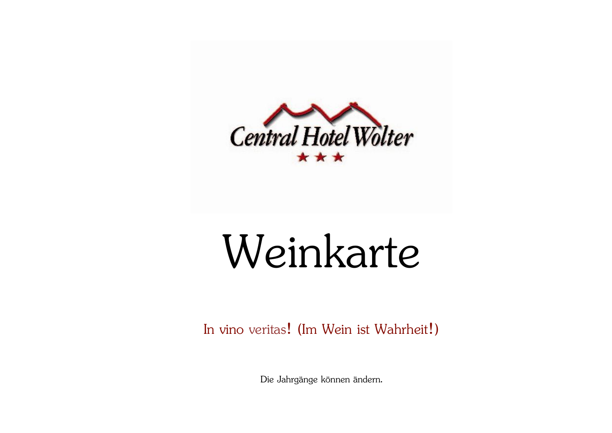

# Weinkarte

In vino veritas! (Im Wein ist Wahrheit!)

Die Jahrgänge können ändern.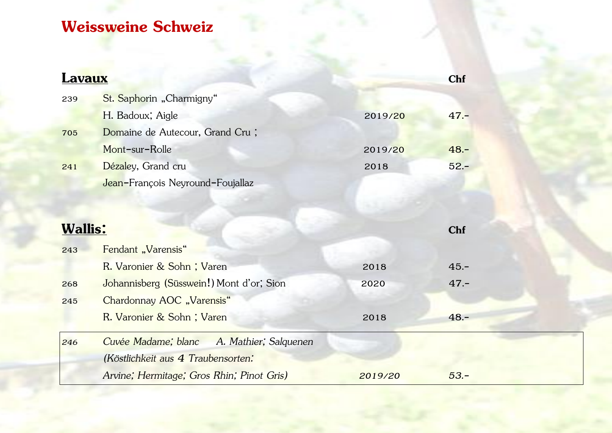## **Weissweine Schweiz**

| <b>Lavaux</b>  |                                              |         | Chf     |  |
|----------------|----------------------------------------------|---------|---------|--|
| 239            | St. Saphorin "Charmigny"                     |         |         |  |
|                | H. Badoux; Aigle                             | 2019/20 | $47 -$  |  |
| 705            | Domaine de Autecour, Grand Cru;              |         |         |  |
|                | Mont-sur-Rolle                               | 2019/20 | $48. -$ |  |
| 241            | Dézaley, Grand cru                           | 2018    | $52 -$  |  |
|                | Jean-François Neyround-Foujallaz             |         |         |  |
|                |                                              |         |         |  |
|                |                                              |         |         |  |
| <b>Wallis:</b> |                                              |         | Chf     |  |
| 243            | Fendant "Varensis"                           |         |         |  |
|                | R. Varonier & Sohn; Varen                    | 2018    | $45. -$ |  |
| 268            | Johannisberg (Süsswein!) Mont d'or; Sion     | 2020    | $47 -$  |  |
| 245            | Chardonnay AOC "Varensis"                    |         |         |  |
|                | R. Varonier & Sohn; Varen                    | 2018    | $48 -$  |  |
| 246            | Cuvée Madame; blanc<br>A. Mathier; Salquenen |         |         |  |
|                | (Köstlichkeit aus 4 Traubensorten:           |         |         |  |
|                | Arvine; Hermitage; Gros Rhin; Pinot Gris)    | 2019/20 | $53. -$ |  |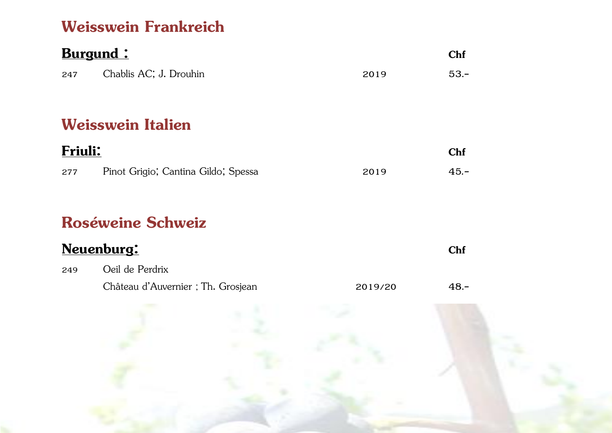#### **Weisswein Frankreich**

| <b>Burgund:</b> |                                     |      |            |  |
|-----------------|-------------------------------------|------|------------|--|
|                 |                                     |      | <b>Chf</b> |  |
| 247             | Chablis AC; J. Drouhin              | 2019 | $53 -$     |  |
|                 |                                     |      |            |  |
|                 | <b>Weisswein Italien</b>            |      |            |  |
| <b>Friuli:</b>  |                                     |      | <b>Chf</b> |  |
| 277             | Pinot Grigio; Cantina Gildo; Spessa | 2019 | $45. -$    |  |

#### **Roséweine Schweiz**

| Neuenburg: |                                   |         |        |
|------------|-----------------------------------|---------|--------|
| 249        | Oeil de Perdrix                   |         |        |
|            | Château d'Auvernier; Th. Grosjean | 2019/20 | $48 -$ |

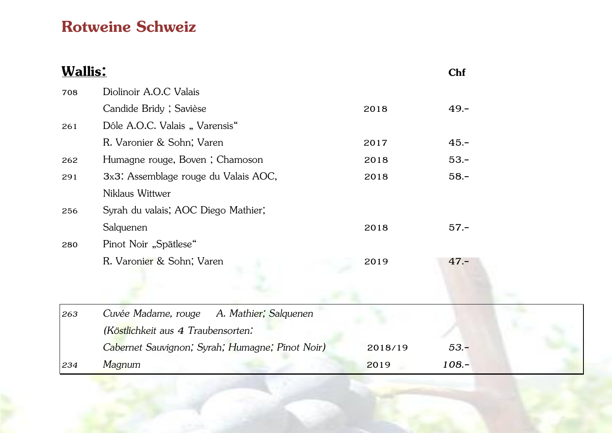#### **Rotweine Schweiz**

| <b>Wallis:</b> |                                                 |         | Chf     |
|----------------|-------------------------------------------------|---------|---------|
| 708            | Diolinoir A.O.C Valais                          |         |         |
|                | Candide Bridy; Savièse                          | 2018    | $49. -$ |
| 261            | Dôle A.O.C. Valais "Varensis"                   |         |         |
|                | R. Varonier & Sohn; Varen                       | 2017    | $45. -$ |
| 262            | Humagne rouge, Boven; Chamoson                  | 2018    | $53. -$ |
| 291            | 3x3: Assemblage rouge du Valais AOC,            | 2018    | $58. -$ |
|                | Niklaus Wittwer                                 |         |         |
| 256            | Syrah du valais; AOC Diego Mathier;             |         |         |
|                | Salquenen                                       | 2018    | $57 -$  |
| 280            | Pinot Noir "Spätlese"                           |         |         |
|                | R. Varonier & Sohn; Varen                       | 2019    | $47 -$  |
|                |                                                 |         |         |
|                |                                                 |         |         |
| 263            | Cuvée Madame, rouge<br>A. Mathier; Salquenen    |         |         |
|                | (Köstlichkeit aus 4 Traubensorten:              |         |         |
|                | Cabernet Sauvignon; Syrah; Humagne; Pinot Noir) | 2018/19 | $53. -$ |
| 234            | Magnum                                          | 2019    | $108 -$ |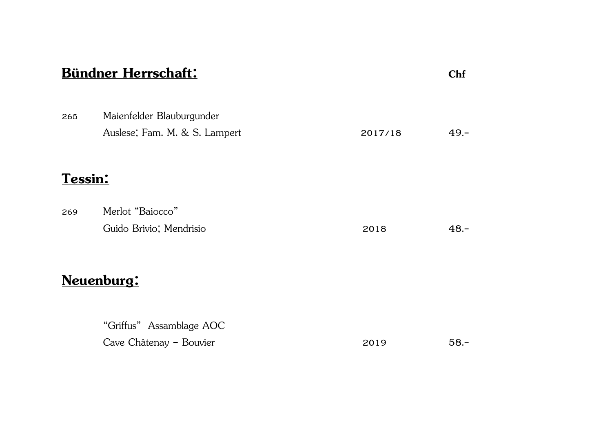| <b>Bündner Herrschaft:</b> |                                                            |         |         |  |
|----------------------------|------------------------------------------------------------|---------|---------|--|
| 265                        | Maienfelder Blauburgunder<br>Auslese; Fam. M. & S. Lampert | 2017/18 | $49 -$  |  |
| Tessin:                    |                                                            |         |         |  |
| 269                        | Merlot "Baiocco"<br>Guido Brivio; Mendrisio                | 2018    | $48. -$ |  |
|                            | Neuenburg:                                                 |         |         |  |
|                            | "Griffus" Assamblage AOC<br>Cave Châtenay - Bouvier        | 2019    | $58 -$  |  |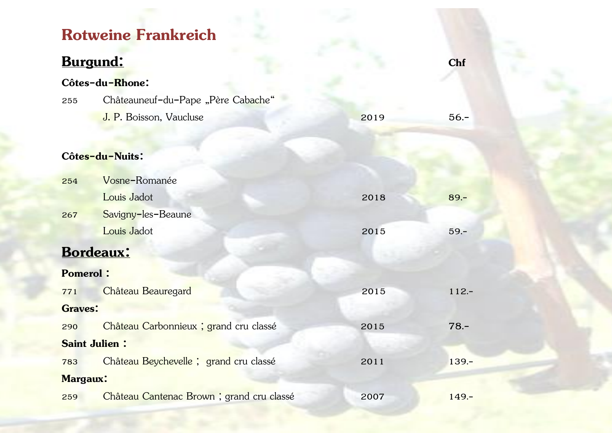## **Rotweine Frankreich**

### **Burgund:** Chf

| Côtes-du-Rhone:      |                                          |      |         |  |  |  |
|----------------------|------------------------------------------|------|---------|--|--|--|
| 255                  | Châteauneuf-du-Pape "Père Cabache"       |      |         |  |  |  |
|                      | J. P. Boisson, Vaucluse                  | 2019 | $56. -$ |  |  |  |
|                      |                                          |      |         |  |  |  |
|                      | Côtes-du-Nuits:                          |      |         |  |  |  |
| 254                  | Vosne-Romanée                            |      |         |  |  |  |
|                      | Louis Jadot                              | 2018 | $89. -$ |  |  |  |
| 267                  | Savigny-les-Beaune                       |      |         |  |  |  |
|                      | Louis Jadot                              | 2015 | $59 -$  |  |  |  |
|                      | Bordeaux:                                |      |         |  |  |  |
| <b>Pomerol:</b>      |                                          |      |         |  |  |  |
| 771                  | Château Beauregard                       | 2015 | $112 -$ |  |  |  |
| <b>Graves:</b>       |                                          |      |         |  |  |  |
| 290                  | Château Carbonnieux ; grand cru classé   | 2015 | $78. -$ |  |  |  |
| <b>Saint Julien:</b> |                                          |      |         |  |  |  |
| 783                  | Château Beychevelle ; grand cru classé   | 2011 | $139 -$ |  |  |  |
| <b>Margaux:</b>      |                                          |      |         |  |  |  |
| 259                  | Château Cantenac Brown; grand cru classé | 2007 | $149 -$ |  |  |  |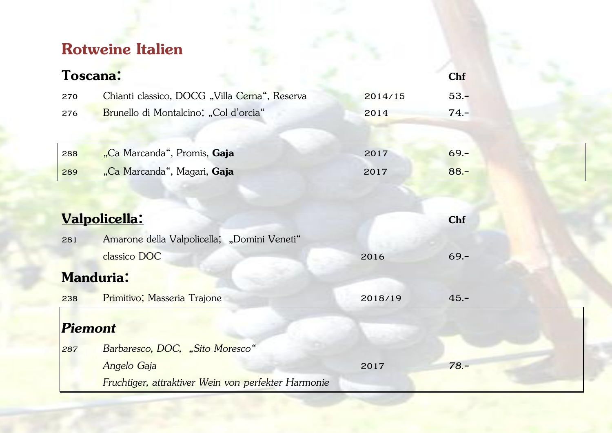# **Rotweine Italien**

| Toscana: |                                               |         | <b>Chf</b> |  |
|----------|-----------------------------------------------|---------|------------|--|
| 270      | Chianti classico, DOCG "Villa Cerna", Reserva | 2014/15 | $53 -$     |  |
| 276      | Brunello di Montalcino; "Col d'orcia"         | 2014    | $74 -$     |  |
|          |                                               |         |            |  |
| 288      | "Ca Marcanda", Promis, Gaja                   | 2017    | $69 -$     |  |
| 289      | "Ca Marcanda", Magari, Gaja                   | 2017    | $88 -$     |  |
|          |                                               |         |            |  |

|                  | Valpolicella:                                       |         | <b>Chf</b> |
|------------------|-----------------------------------------------------|---------|------------|
| 281              | Amarone della Valpolicella; "Domini Veneti"         |         |            |
|                  | classico DOC                                        | 2016    | $69. -$    |
| <b>Manduria:</b> |                                                     |         |            |
| 238              | Primitivo; Masseria Trajone                         | 2018/19 | $45 -$     |
| Piemont          |                                                     |         |            |
| 287              | Barbaresco, DOC, "Sito Moresco"                     |         |            |
|                  | Angelo Gaja                                         | 2017    | $78. -$    |
|                  | Fruchtiger, attraktiver Wein von perfekter Harmonie |         |            |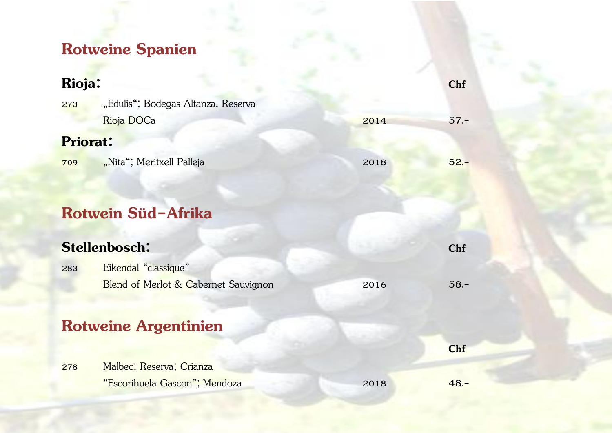# **Rotweine Spanien**

| Rioja:          |                                      |      | Chf        |
|-----------------|--------------------------------------|------|------------|
| 273             | "Edulis"; Bodegas Altanza, Reserva   |      |            |
|                 | Rioja DOCa                           | 2014 | $57 -$     |
| <b>Priorat:</b> |                                      |      |            |
| 709             | "Nita"; Meritxell Palleja            | 2018 | $52 -$     |
|                 |                                      |      |            |
|                 |                                      |      |            |
|                 | Rotwein Süd-Afrika                   |      |            |
|                 | Stellenbosch:                        |      | <b>Chf</b> |
| 283             | Eikendal "classique"                 |      |            |
|                 | Blend of Merlot & Cabernet Sauvignon | 2016 | $58 -$     |
|                 |                                      |      |            |
|                 | <b>Rotweine Argentinien</b>          |      |            |
|                 |                                      |      | Chf        |
| 278             | Malbec; Reserva; Crianza             |      |            |
|                 | "Escorihuela Gascon"; Mendoza        | 2018 | $48 -$     |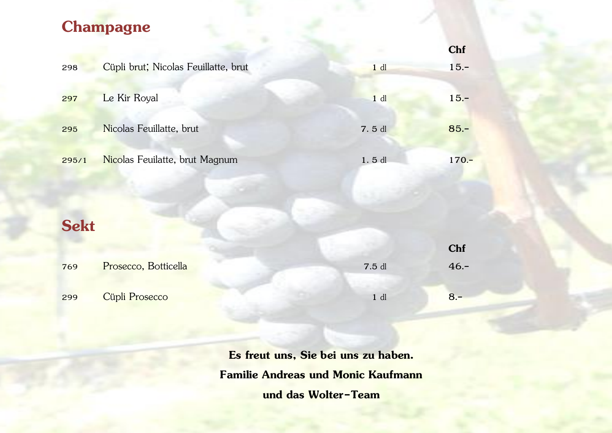#### **Champagne**

|             |                                      |        | Chf     |
|-------------|--------------------------------------|--------|---------|
| 298         | Cüpli brut; Nicolas Feuillatte, brut | $1$ dl | $15. -$ |
| 297         | Le Kir Royal                         | $1$ dl | $15. -$ |
| 295         | Nicolas Feuillatte, brut             | 7.5 dl | $85 -$  |
| 295/1       | Nicolas Feuilatte, brut Magnum       | 1.5 dl | $170 -$ |
|             |                                      |        |         |
| <b>Sekt</b> |                                      |        |         |
|             |                                      |        | Chf     |
| 769         | Prosecco, Botticella                 | 7.5 dl | $46. -$ |
| 299         | Cüpli Prosecco                       | $1$ dl | $8 -$   |

**Es freut uns, Sie bei uns zu haben. Familie Andreas und Monic Kaufmann und das Wolter-Team**